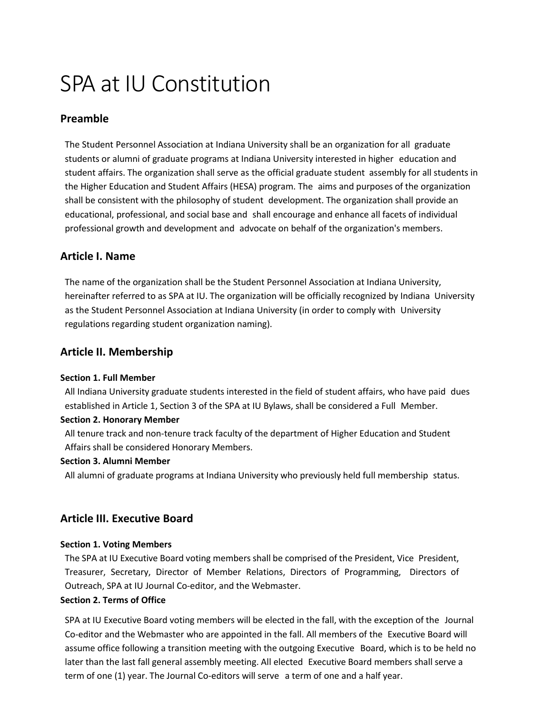# SPA at IU Constitution

## **Preamble**

The Student Personnel Association at Indiana University shall be an organization for all graduate students or alumni of graduate programs at Indiana University interested in higher education and student affairs. The organization shall serve as the official graduate student assembly for all students in the Higher Education and Student Affairs (HESA) program. The aims and purposes of the organization shall be consistent with the philosophy of student development. The organization shall provide an educational, professional, and social base and shall encourage and enhance all facets of individual professional growth and development and advocate on behalf of the organization's members.

## **Article I. Name**

The name of the organization shall be the Student Personnel Association at Indiana University, hereinafter referred to as SPA at IU. The organization will be officially recognized by Indiana University as the Student Personnel Association at Indiana University (in order to comply with University regulations regarding student organization naming).

## **Article II. Membership**

### **Section 1. Full Member**

All Indiana University graduate students interested in the field of student affairs, who have paid dues established in Article 1, Section 3 of the SPA at IU Bylaws, shall be considered a Full Member.

## **Section 2. Honorary Member**

All tenure track and non-tenure track faculty of the department of Higher Education and Student Affairs shall be considered Honorary Members.

### **Section 3. Alumni Member**

All alumni of graduate programs at Indiana University who previously held full membership status.

## **Article III. Executive Board**

## **Section 1. Voting Members**

The SPA at IU Executive Board voting members shall be comprised of the President, Vice President, Treasurer, Secretary, Director of Member Relations, Directors of Programming, Directors of Outreach, SPA at IU Journal Co-editor, and the Webmaster.

## **Section 2. Terms of Office**

SPA at IU Executive Board voting members will be elected in the fall, with the exception of the Journal Co-editor and the Webmaster who are appointed in the fall. All members of the Executive Board will assume office following a transition meeting with the outgoing Executive Board, which is to be held no later than the last fall general assembly meeting. All elected Executive Board members shall serve a term of one (1) year. The Journal Co-editors will serve a term of one and a half year.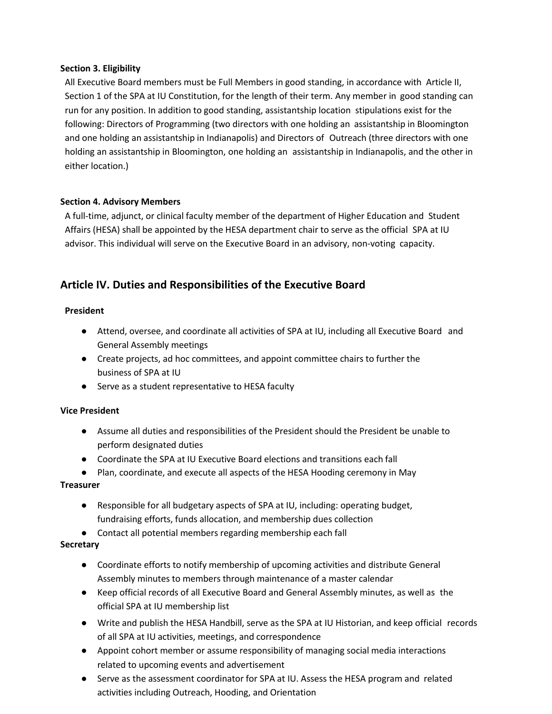### **Section 3. Eligibility**

All Executive Board members must be Full Members in good standing, in accordance with Article II, Section 1 of the SPA at IU Constitution, for the length of their term. Any member in good standing can run for any position. In addition to good standing, assistantship location stipulations exist for the following: Directors of Programming (two directors with one holding an assistantship in Bloomington and one holding an assistantship in Indianapolis) and Directors of Outreach (three directors with one holding an assistantship in Bloomington, one holding an assistantship in Indianapolis, and the other in either location.)

### **Section 4. Advisory Members**

A full-time, adjunct, or clinical faculty member of the department of Higher Education and Student Affairs (HESA) shall be appointed by the HESA department chair to serve as the official SPA at IU advisor. This individual will serve on the Executive Board in an advisory, non-voting capacity.

## **Article IV. Duties and Responsibilities of the Executive Board**

### **President**

- Attend, oversee, and coordinate all activities of SPA at IU, including all Executive Board and General Assembly meetings
- Create projects, ad hoc committees, and appoint committee chairs to further the business of SPA at IU
- Serve as a student representative to HESA faculty

### **Vice President**

- Assume all duties and responsibilities of the President should the President be unable to perform designated duties
- Coordinate the SPA at IU Executive Board elections and transitions each fall
- Plan, coordinate, and execute all aspects of the HESA Hooding ceremony in May

### **Treasurer**

- Responsible for all budgetary aspects of SPA at IU, including: operating budget, fundraising efforts, funds allocation, and membership dues collection
- Contact all potential members regarding membership each fall

### **Secretary**

- Coordinate efforts to notify membership of upcoming activities and distribute General Assembly minutes to members through maintenance of a master calendar
- Keep official records of all Executive Board and General Assembly minutes, as well as the official SPA at IU membership list
- Write and publish the HESA Handbill, serve as the SPA at IU Historian, and keep official records of all SPA at IU activities, meetings, and correspondence
- Appoint cohort member or assume responsibility of managing social media interactions related to upcoming events and advertisement
- Serve as the assessment coordinator for SPA at IU. Assess the HESA program and related activities including Outreach, Hooding, and Orientation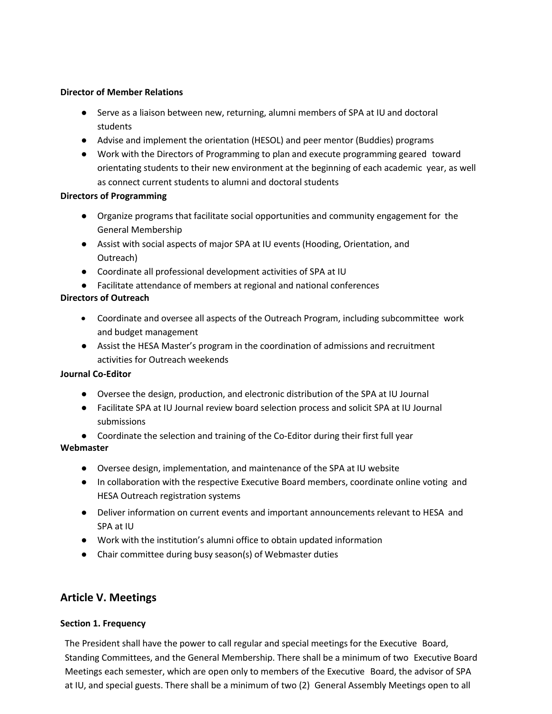### **Director of Member Relations**

- Serve as a liaison between new, returning, alumni members of SPA at IU and doctoral students
- Advise and implement the orientation (HESOL) and peer mentor (Buddies) programs
- Work with the Directors of Programming to plan and execute programming geared toward orientating students to their new environment at the beginning of each academic year, as well as connect current students to alumni and doctoral students

### **Directors of Programming**

- Organize programs that facilitate social opportunities and community engagement for the General Membership
- Assist with social aspects of major SPA at IU events (Hooding, Orientation, and Outreach)
- Coordinate all professional development activities of SPA at IU
- Facilitate attendance of members at regional and national conferences

### **Directors of Outreach**

- Coordinate and oversee all aspects of the Outreach Program, including subcommittee work and budget management
- Assist the HESA Master's program in the coordination of admissions and recruitment activities for Outreach weekends

### **Journal Co-Editor**

- Oversee the design, production, and electronic distribution of the SPA at IU Journal
- Facilitate SPA at IU Journal review board selection process and solicit SPA at IU Journal submissions
- Coordinate the selection and training of the Co-Editor during their first full year

### **Webmaster**

- Oversee design, implementation, and maintenance of the SPA at IU website
- In collaboration with the respective Executive Board members, coordinate online voting and HESA Outreach registration systems
- Deliver information on current events and important announcements relevant to HESA and SPA at IU
- Work with the institution's alumni office to obtain updated information
- Chair committee during busy season(s) of Webmaster duties

## **Article V. Meetings**

## **Section 1. Frequency**

The President shall have the power to call regular and special meetings for the Executive Board, Standing Committees, and the General Membership. There shall be a minimum of two Executive Board Meetings each semester, which are open only to members of the Executive Board, the advisor of SPA at IU, and special guests. There shall be a minimum of two (2) General Assembly Meetings open to all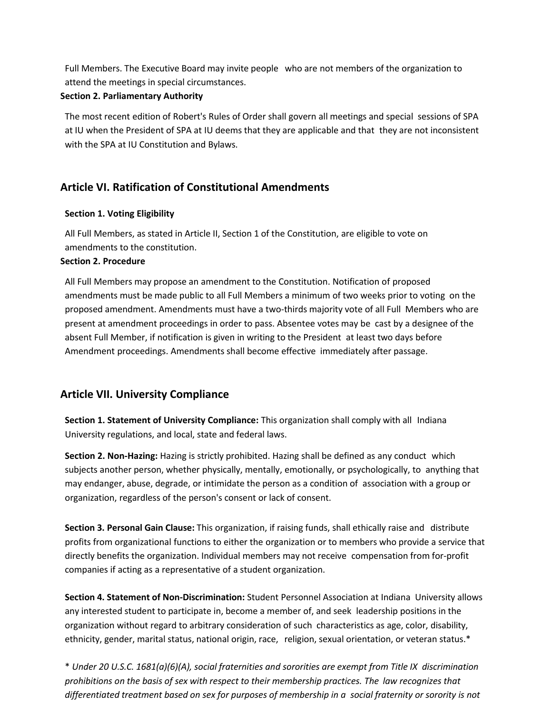Full Members. The Executive Board may invite people who are not members of the organization to attend the meetings in special circumstances.

### **Section 2. Parliamentary Authority**

The most recent edition of Robert's Rules of Order shall govern all meetings and special sessions of SPA at IU when the President of SPA at IU deems that they are applicable and that they are not inconsistent with the SPA at IU Constitution and Bylaws.

## **Article VI. Ratification of Constitutional Amendments**

### **Section 1. Voting Eligibility**

All Full Members, as stated in Article II, Section 1 of the Constitution, are eligible to vote on amendments to the constitution.

### **Section 2. Procedure**

All Full Members may propose an amendment to the Constitution. Notification of proposed amendments must be made public to all Full Members a minimum of two weeks prior to voting on the proposed amendment. Amendments must have a two-thirds majority vote of all Full Members who are present at amendment proceedings in order to pass. Absentee votes may be cast by a designee of the absent Full Member, if notification is given in writing to the President at least two days before Amendment proceedings. Amendments shall become effective immediately after passage.

## **Article VII. University Compliance**

**Section 1. Statement of University Compliance:** This organization shall comply with all Indiana University regulations, and local, state and federal laws.

**Section 2. Non-Hazing:** Hazing is strictly prohibited. Hazing shall be defined as any conduct which subjects another person, whether physically, mentally, emotionally, or psychologically, to anything that may endanger, abuse, degrade, or intimidate the person as a condition of association with a group or organization, regardless of the person's consent or lack of consent.

**Section 3. Personal Gain Clause:** This organization, if raising funds, shall ethically raise and distribute profits from organizational functions to either the organization or to members who provide a service that directly benefits the organization. Individual members may not receive compensation from for-profit companies if acting as a representative of a student organization.

**Section 4. Statement of Non-Discrimination:** Student Personnel Association at Indiana University allows any interested student to participate in, become a member of, and seek leadership positions in the organization without regard to arbitrary consideration of such characteristics as age, color, disability, ethnicity, gender, marital status, national origin, race, religion, sexual orientation, or veteran status.\*

\* *Under 20 U.S.C. 1681(a)(6)(A), social fraternities and sororities are exempt from Title IX discrimination prohibitions on the basis of sex with respect to their membership practices. The law recognizes that differentiated treatment based on sex for purposes of membership in a social fraternity or sorority is not*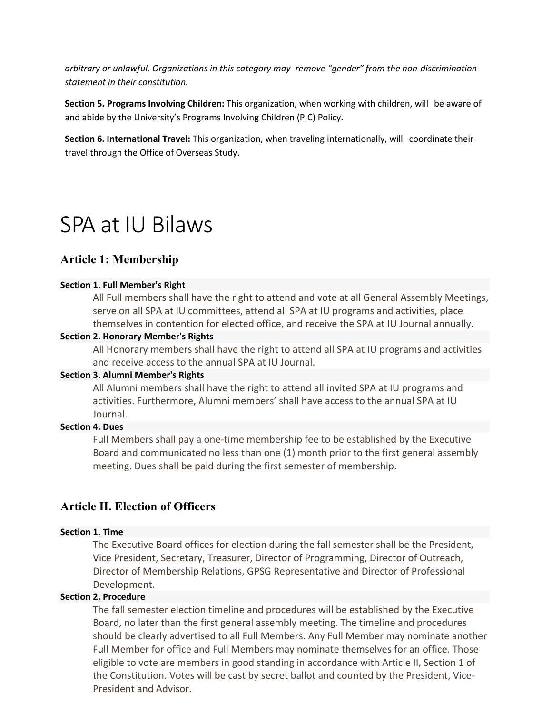*arbitrary or unlawful. Organizations in this category may remove "gender" from the non-discrimination statement in their constitution.*

**Section 5. Programs Involving Children:** This organization, when working with children, will be aware of and abide by the University's Programs Involving Children (PIC) Policy.

**Section 6. International Travel:** This organization, when traveling internationally, will coordinate their travel through the Office of Overseas Study.

## SPA at IU Bilaws

## **Article 1: Membership**

### **Section 1. Full Member's Right**

All Full members shall have the right to attend and vote at all General Assembly Meetings, serve on all SPA at IU committees, attend all SPA at IU programs and activities, place themselves in contention for elected office, and receive the SPA at IU Journal annually.

### **Section 2. Honorary Member's Rights**

All Honorary members shall have the right to attend all SPA at IU programs and activities and receive access to the annual SPA at IU Journal.

### **Section 3. Alumni Member's Rights**

All Alumni members shall have the right to attend all invited SPA at IU programs and activities. Furthermore, Alumni members' shall have access to the annual SPA at IU Journal.

### **Section 4. Dues**

Full Members shall pay a one-time membership fee to be established by the Executive Board and communicated no less than one (1) month prior to the first general assembly meeting. Dues shall be paid during the first semester of membership.

## **Article II. Election of Officers**

## **Section 1. Time**

The Executive Board offices for election during the fall semester shall be the President, Vice President, Secretary, Treasurer, Director of Programming, Director of Outreach, Director of Membership Relations, GPSG Representative and Director of Professional Development.

### **Section 2. Procedure**

The fall semester election timeline and procedures will be established by the Executive Board, no later than the first general assembly meeting. The timeline and procedures should be clearly advertised to all Full Members. Any Full Member may nominate another Full Member for office and Full Members may nominate themselves for an office. Those eligible to vote are members in good standing in accordance with Article II, Section 1 of the Constitution. Votes will be cast by secret ballot and counted by the President, Vice-President and Advisor.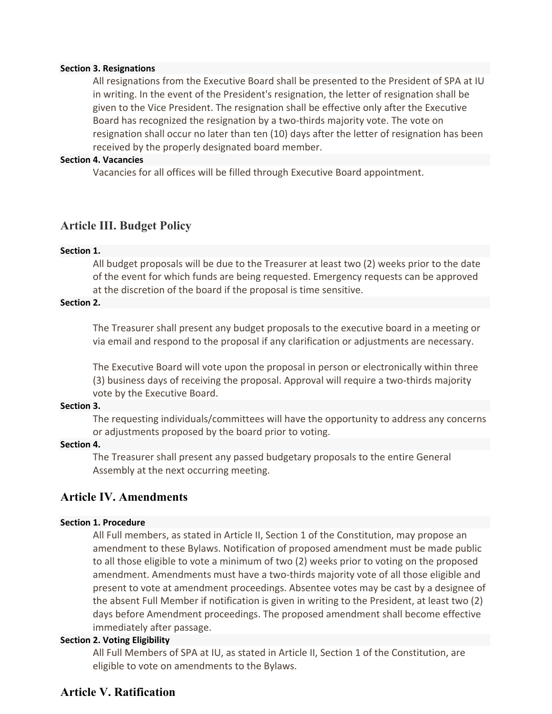### **Section 3. Resignations**

All resignations from the Executive Board shall be presented to the President of SPA at IU in writing. In the event of the President's resignation, the letter of resignation shall be given to the Vice President. The resignation shall be effective only after the Executive Board has recognized the resignation by a two-thirds majority vote. The vote on resignation shall occur no later than ten (10) days after the letter of resignation has been received by the properly designated board member.

### **Section 4. Vacancies**

Vacancies for all offices will be filled through Executive Board appointment.

### **Article III. Budget Policy**

#### **Section 1.**

All budget proposals will be due to the Treasurer at least two (2) weeks prior to the date of the event for which funds are being requested. Emergency requests can be approved at the discretion of the board if the proposal is time sensitive.

### **Section 2.**

The Treasurer shall present any budget proposals to the executive board in a meeting or via email and respond to the proposal if any clarification or adjustments are necessary.

The Executive Board will vote upon the proposal in person or electronically within three (3) business days of receiving the proposal. Approval will require a two-thirds majority vote by the Executive Board.

### **Section 3.**

The requesting individuals/committees will have the opportunity to address any concerns or adjustments proposed by the board prior to voting.

### **Section 4.**

The Treasurer shall present any passed budgetary proposals to the entire General Assembly at the next occurring meeting.

## **Article IV. Amendments**

### **Section 1. Procedure**

All Full members, as stated in Article II, Section 1 of the Constitution, may propose an amendment to these Bylaws. Notification of proposed amendment must be made public to all those eligible to vote a minimum of two (2) weeks prior to voting on the proposed amendment. Amendments must have a two-thirds majority vote of all those eligible and present to vote at amendment proceedings. Absentee votes may be cast by a designee of the absent Full Member if notification is given in writing to the President, at least two (2) days before Amendment proceedings. The proposed amendment shall become effective immediately after passage.

### **Section 2. Voting Eligibility**

All Full Members of SPA at IU, as stated in Article II, Section 1 of the Constitution, are eligible to vote on amendments to the Bylaws.

## **Article V. Ratification**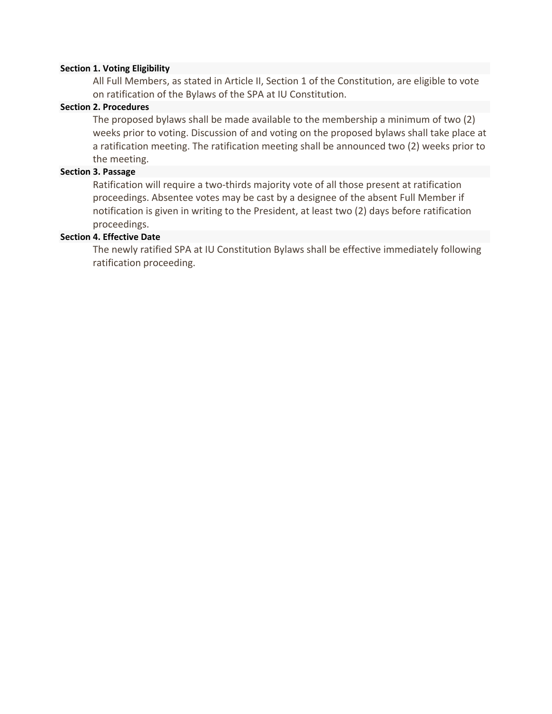### **Section 1. Voting Eligibility**

All Full Members, as stated in Article II, Section 1 of the Constitution, are eligible to vote on ratification of the Bylaws of the SPA at IU Constitution.

## **Section 2. Procedures**

The proposed bylaws shall be made available to the membership a minimum of two (2) weeks prior to voting. Discussion of and voting on the proposed bylaws shall take place at a ratification meeting. The ratification meeting shall be announced two (2) weeks prior to the meeting.

### **Section 3. Passage**

Ratification will require a two-thirds majority vote of all those present at ratification proceedings. Absentee votes may be cast by a designee of the absent Full Member if notification is given in writing to the President, at least two (2) days before ratification proceedings.

### **Section 4. Effective Date**

The newly ratified SPA at IU Constitution Bylaws shall be effective immediately following ratification proceeding.